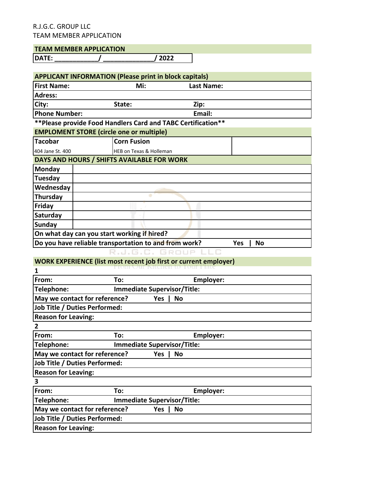## **TEAM MEMBER APPLICATION**

**DATE: \_\_\_\_\_\_\_\_\_\_\_\_/ \_\_\_\_\_\_\_\_\_\_\_\_\_\_/ 2022**

| <b>APPLICANT INFORMATION (Please print in block capitals)</b> |                         |            |           |  |  |
|---------------------------------------------------------------|-------------------------|------------|-----------|--|--|
| <b>First Name:</b>                                            | Mi:                     | Last Name: |           |  |  |
| <b>Adress:</b>                                                |                         |            |           |  |  |
| City:                                                         | State:                  | Zip:       |           |  |  |
| <b>Phone Number:</b>                                          |                         | Email:     |           |  |  |
| ** Please provide Food Handlers Card and TABC Certification** |                         |            |           |  |  |
| <b>EMPLOMENT STORE (circle one or multiple)</b>               |                         |            |           |  |  |
| Tacobar                                                       | <b>Corn Fusion</b>      |            |           |  |  |
| 404 Jane St. 400                                              | HEB on Texas & Holleman |            |           |  |  |
| DAYS AND HOURS / SHIFTS AVAILABLE FOR WORK                    |                         |            |           |  |  |
| Monday                                                        |                         |            |           |  |  |
| Tuesday                                                       |                         |            |           |  |  |
| Wednesday                                                     |                         |            |           |  |  |
| Thursday                                                      |                         |            |           |  |  |
| Friday                                                        |                         |            |           |  |  |
| Saturday                                                      |                         |            |           |  |  |
| <b>Sunday</b>                                                 |                         |            |           |  |  |
| On what day can you start working if hired?                   |                         |            |           |  |  |
| Do you have reliable transportation to and from work?         |                         |            | Yes<br>No |  |  |
|                                                               | .J.G.C. GROUP           |            |           |  |  |

## **WORK EXPERIENCE (list most recent job first or current employer)**

| From:                                | To:                                |            | <b>Employer:</b> |  |
|--------------------------------------|------------------------------------|------------|------------------|--|
| Telephone:                           | <b>Immediate Supervisor/Title:</b> |            |                  |  |
| May we contact for reference?        |                                    | Yes.<br>No |                  |  |
| <b>Job Title / Duties Performed:</b> |                                    |            |                  |  |
| <b>Reason for Leaving:</b>           |                                    |            |                  |  |
| 2                                    |                                    |            |                  |  |
| From:                                | To:                                |            | Employer:        |  |
| Telephone:                           | <b>Immediate Supervisor/Title:</b> |            |                  |  |
| May we contact for reference?        |                                    | No<br>Yes  |                  |  |
| <b>Job Title / Duties Performed:</b> |                                    |            |                  |  |
| <b>Reason for Leaving:</b>           |                                    |            |                  |  |
| 3                                    |                                    |            |                  |  |
| From:                                | To:                                |            | <b>Employer:</b> |  |
| Telephone:                           | <b>Immediate Supervisor/Title:</b> |            |                  |  |
| May we contact for reference?        |                                    | No<br>Yes. |                  |  |
| <b>Job Title / Duties Performed:</b> |                                    |            |                  |  |
| <b>Reason for Leaving:</b>           |                                    |            |                  |  |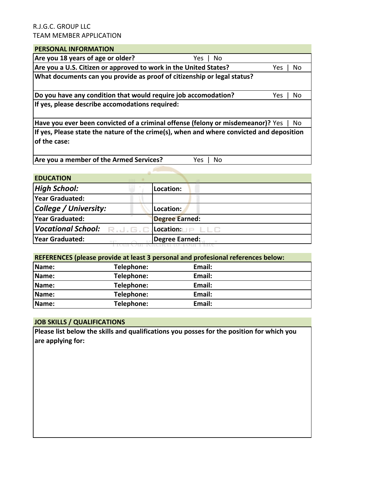## **PERSONAL INFORMATION**

| F LINJUNAL INI UNIVIA HUIV                                                               |      |     |
|------------------------------------------------------------------------------------------|------|-----|
| Are you 18 years of age or older?<br>No<br>Yes l                                         |      |     |
| Are you a U.S. Citizen or approved to work in the United States?                         | Yes. | No. |
| What documents can you provide as proof of citizenship or legal status?                  |      |     |
|                                                                                          |      |     |
| Do you have any condition that would require job accomodation?                           | Yes. | No. |
| If yes, please describe accomodations required:                                          |      |     |
|                                                                                          |      |     |
| Have you ever been convicted of a criminal offense (felony or misdemeanor)? Yes          |      | No  |
| If yes, Please state the nature of the crime(s), when and where convicted and deposition |      |     |
| lof the case:                                                                            |      |     |
|                                                                                          |      |     |
| Are you a member of the Armed Services?<br>No<br>Yes                                     |      |     |

# **EDUCATION** *High School:* **Location: Year Graduated: College / University: Location: Year Graduated: Degree Earned:** *Vocational School:* R.J.G.C. Location: UP LLC **Year Graduated: Degree Earned:**

#### **REFERENCES** (please provide at least 3 personal and profesional references below:

| . .   |            |        |
|-------|------------|--------|
| Name: | Telephone: | Email: |
| Name: | Telephone: | Email: |
| Name: | Telephone: | Email: |
| Name: | Telephone: | Email: |
| Name: | Telephone: | Email: |

#### **JOB SKILLS / QUALIFICATIONS**

**Please list below the skills and qualifications you posses for the position for which you** are applying for: